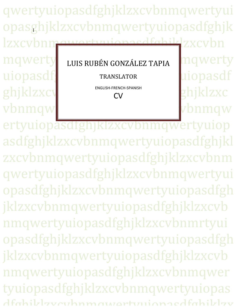qwertyuiopasdfghjklzxcvbnmqwertyui opasghjklzxcvbnmqwertyuiopasdfghjk lzxcybnm<u>qwertyuiopasdfghik</u>lzxcybn  $mqwerty$  LUIS RUBÉN GONZÁLEZ TAPIA MOWETTY uiopasdf<sub>g</sub> TRANSLATOR uiopasdf ghjklzxcv ENGLISH-FRENCH-SPANISH ghjklzxc vbnmqwertyuinguidheed vbnmqw l TRANSLATOR ENGLISH-FRENCH-SPANISH CV

ertyuiopasdfghjklzxcvbnmqwertyuiop asdfghjklzxcvbnmqwertyuiopasdfghjkl zxcvbnmqwertyuiopasdfghjklzxcvbnm qwertyuiopasdfghjklzxcvbnmqwertyui opasdfghjklzxcvbnmqwertyuiopasdfgh jklzxcvbnmqwertyuiopasdfghjklzxcvb nmqwertyuiopasdfghjklzxcvbnmrtyui opasdfghjklzxcvbnmqwertyuiopasdfgh jklzxcvbnmqwertyuiopasdfghjklzxcvb nmqwertyuiopasdfghjklzxcvbnmqwer tyuiopasdfghjklzxcvbnmqwertyuiopas dfahiblzvcuhnmawartunionaedfahiblzv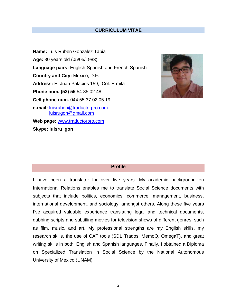### **CURRICULUM VITAE**

**Name:** Luis Ruben Gonzalez Tapia **Age:** 30 years old (05/05/1983) **Language pairs:** English-Spanish and French-Spanish **Country and City:** Mexico, D.F. **Address:** E. Juan Palacios 159, Col. Ermita **Phone num. (52) 55** 54 85 02 48 **Cell phone num.** 044 55 37 02 05 19 **e-mail:** [luisruben@traductorpro.com](mailto:luisruben@traductorpro.com) [luisrugon@gmail.com](mailto:luisrugon@gmail.com) **Web page:** [www.traductorpro.com](http://www.traductorpro.com/) **Skype: luisru\_gon**



# **Profile**

I have been a translator for over five years. My academic background on International Relations enables me to translate Social Science documents with subjects that include politics, economics, commerce, management, business, international development, and sociology, amongst others. Along these five years I've acquired valuable experience translating legal and technical documents, dubbing scripts and subtitling movies for television shows of different genres, such as film, music, and art. My professional strengths are my English skills, my research skills, the use of CAT tools (SDL Trados, MemoQ, OmegaT), and great writing skills in both, English and Spanish languages. Finally, I obtained a Diploma on Specialized Translation in Social Science by the National Autonomous University of Mexico (UNAM).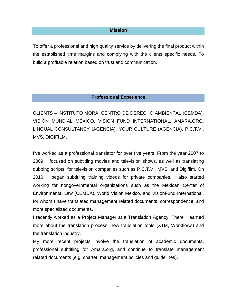### **Mission**

To offer a professional and high quality service by delivering the final product within the established time margins and complying with the clients specific needs. To build a profitable relation based on trust and communication.

#### **Professional Experience**

**CLIENTS –** INSTITUTO MORA, CENTRO DE DERECHO AMBIENTAL (CEMDA), VISIÓN MUNDIAL MÉXICO, VISION FUND INTERNATIONAL, AMARA.ORG, LINGUAL CONSULTANCY (AGENCIA), YOUR CULTURE (AGENCIA), P.C.T.V., MVS, DIGIFILM.

I've worked as a professional translator for over five years. From the year 2007 to 2009, I focused on subtitling movies and television shows, as well as translating dubbing scripts, for television companies such as P.C.T.V., MVS, and Digifilm. On 2010, I began subtitling training videos for private companies. I also started working for nongovernmental organizations such as the Mexican Center of Environmental Law (CEMDA)**,** World Vision Mexico, and VisionFund International, for whom I have translated management related documents, correspondence, and more specialized documents.

I recently worked as a Project Manager at a Translation Agency. There I learned more about the translation process, new translation tools (XTM, Workflows) and the translation industry.

My more recent projects involve the translation of academic documents, professional subtitling for Amara.org, and continue to translate management related documents (e.g. charter, management policies and guidelines).

3